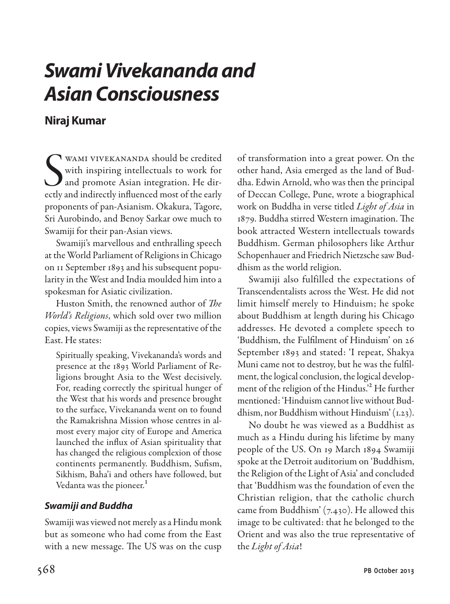# *Swami Vivekananda and Asian Consciousness*

# **Niraj Kumar**

S<sub>ectly</sub> wami Vivekananda should be credited with inspiring intellectuals to work for and promote Asian integration. He directly and indirectly influenced most of the early proponents of pan-Asianism. Okakura, Tagore, Sri Aurobindo, and Benoy Sarkar owe much to Swamiji for their pan-Asian views.

Swamiji's marvellous and enthralling speech at the World Parliament of Religions in Chicago on 11 September 1893 and his subsequent popularity in the West and India moulded him into a spokesman for Asiatic civilization.

Huston Smith, the renowned author of *The World's Religions*, which sold over two million copies, views Swamiji as the representative of the East. He states:

Spiritually speaking, Vivekananda's words and presence at the 1893 World Parliament of Religions brought Asia to the West decisively. For, reading correctly the spiritual hunger of the West that his words and presence brought to the surface, Vivekananda went on to found the Ramakrishna Mission whose centres in almost every major city of Europe and America launched the influx of Asian spirituality that has changed the religious complexion of those continents permanently. Buddhism, Sufism, Sikhism, Baha'i and others have followed, but Vedanta was the pioneer.<sup>1</sup>

## *Swamiji and Buddha*

Swamiji was viewed not merely as a Hindu monk but as someone who had come from the East with a new message. The US was on the cusp

of transformation into a great power. On the other hand, Asia emerged as the land of Buddha. Edwin Arnold, who was then the principal of Deccan College, Pune, wrote a biographical work on Buddha in verse titled *Light of Asia* in 1879. Buddha stirred Western imagination. The book attracted Western intellectuals towards Buddhism. German philosophers like Arthur Schopenhauer and Friedrich Nietzsche saw Buddhism as the world religion.

Swamiji also fulfilled the expectations of Transcendentalists across the West. He did not limit himself merely to Hinduism; he spoke about Buddhism at length during his Chicago addresses. He devoted a complete speech to 'Buddhism, the Fulfilment of Hinduism' on 26 September 1893 and stated: 'I repeat, Shakya Muni came not to destroy, but he was the fulfilment, the logical conclusion, the logical development of the religion of the Hindus.'2 He further mentioned: 'Hinduism cannot live without Buddhism, nor Buddhism without Hinduism' (1.23).

No doubt he was viewed as a Buddhist as much as a Hindu during his lifetime by many people of the US. On 19 March 1894 Swamiji spoke at the Detroit auditorium on 'Buddhism, the Religion of the Light of Asia' and concluded that 'Buddhism was the foundation of even the Christian religion, that the catholic church came from Buddhism' (7.430). He allowed this image to be cultivated: that he belonged to the Orient and was also the true representative of the *Light of Asia*!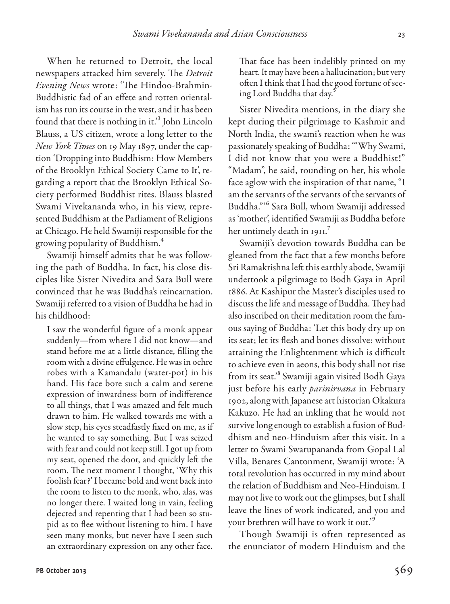When he returned to Detroit, the local newspapers attacked him severely. The *Detroit Evening News* wrote: 'The Hindoo-Brahmin-Buddhistic fad of an effete and rotten orientalism has run its course in the west, and it has been found that there is nothing in it.'3 John Lincoln Blauss, a US citizen, wrote a long letter to the *New York Times* on 19 May 1897, under the caption 'Dropping into Buddhism: How Members of the Brooklyn Ethical Society Came to It', regarding a report that the Brooklyn Ethical Society performed Buddhist rites. Blauss blasted Swami Vivekananda who, in his view, represented Buddhism at the Parliament of Religions at Chicago. He held Swamiji responsible for the growing popularity of Buddhism.4

Swamiji himself admits that he was following the path of Buddha. In fact, his close disciples like Sister Nivedita and Sara Bull were convinced that he was Buddha's reincarnation. Swamiji referred to a vision of Buddha he had in his childhood:

I saw the wonderful figure of a monk appear suddenly—from where I did not know—and stand before me at a little distance, filling the room with a divine effulgence. He was in ochre robes with a Kamandalu (water-pot) in his hand. His face bore such a calm and serene expression of inwardness born of indifference to all things, that I was amazed and felt much drawn to him. He walked towards me with a slow step, his eyes steadfastly fixed on me, as if he wanted to say something. But I was seized with fear and could not keep still. I got up from my seat, opened the door, and quickly left the room. The next moment I thought, 'Why this foolish fear?' I became bold and went back into the room to listen to the monk, who, alas, was no longer there. I waited long in vain, feeling dejected and repenting that I had been so stupid as to flee without listening to him. I have seen many monks, but never have I seen such an extraordinary expression on any other face. That face has been indelibly printed on my heart. It may have been a hallucination; but very often I think that I had the good fortune of seeing Lord Buddha that day.5

Sister Nivedita mentions, in the diary she kept during their pilgrimage to Kashmir and North India, the swami's reaction when he was passionately speaking of Buddha: '"Why Swami, I did not know that you were a Buddhist!" "Madam", he said, rounding on her, his whole face aglow with the inspiration of that name, "I am the servants of the servants of the servants of Buddha."'6 Sara Bull, whom Swamiji addressed as 'mother', identified Swamiji as Buddha before her untimely death in 1911.<sup>7</sup>

Swamiji's devotion towards Buddha can be gleaned from the fact that a few months before Sri Ramakrishna left this earthly abode, Swamiji undertook a pilgrimage to Bodh Gaya in April 1886. At Kashipur the Master's disciples used to discuss the life and message of Buddha. They had also inscribed on their meditation room the famous saying of Buddha: 'Let this body dry up on its seat; let its flesh and bones dissolve: without attaining the Enlightenment which is difficult to achieve even in aeons, this body shall not rise from its seat.'8 Swamiji again visited Bodh Gaya just before his early *parinirvana* in February 1902, along with Japanese art historian Okakura Kakuzo. He had an inkling that he would not survive long enough to establish a fusion of Buddhism and neo-Hinduism after this visit. In a letter to Swami Swarupananda from Gopal Lal Villa, Benares Cantonment, Swamiji wrote: 'A total revolution has occurred in my mind about the relation of Buddhism and Neo-Hinduism. I may not live to work out the glimpses, but I shall leave the lines of work indicated, and you and your brethren will have to work it out.'9

Though Swamiji is often represented as the enunciator of modern Hinduism and the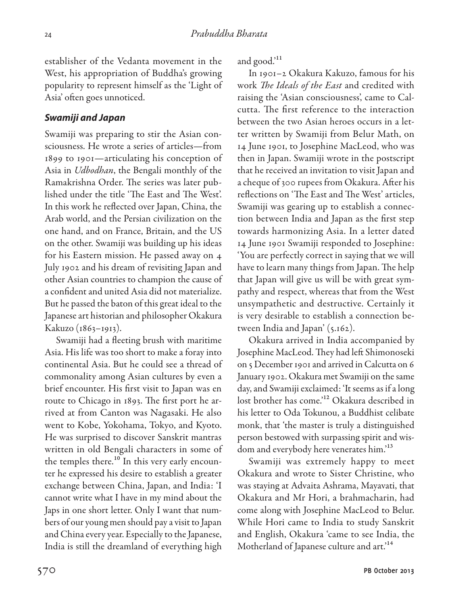establisher of the Vedanta movement in the West, his appropriation of Buddha's growing popularity to represent himself as the 'Light of Asia' often goes unnoticed.

### *Swamiji and Japan*

Swamiji was preparing to stir the Asian consciousness. He wrote a series of articles—from 1899 to 1901—articulating his conception of Asia in *Udbodhan*, the Bengali monthly of the Ramakrishna Order. The series was later published under the title 'The East and The West'. In this work he reflected over Japan, China, the Arab world, and the Persian civilization on the one hand, and on France, Britain, and the US on the other. Swamiji was building up his ideas for his Eastern mission. He passed away on 4 July 1902 and his dream of revisiting Japan and other Asian countries to champion the cause of a confident and united Asia did not materialize. But he passed the baton of this great ideal to the Japanese art historian and philosopher Okakura Kakuzo (1863–1913).

Swamiji had a fleeting brush with maritime Asia. His life was too short to make a foray into continental Asia. But he could see a thread of commonality among Asian cultures by even a brief encounter. His first visit to Japan was en route to Chicago in 1893. The first port he arrived at from Canton was Nagasaki. He also went to Kobe, Yokohama, Tokyo, and Kyoto. He was surprised to discover Sanskrit mantras written in old Bengali characters in some of the temples there.<sup>10</sup> In this very early encounter he expressed his desire to establish a greater exchange between China, Japan, and India: 'I cannot write what I have in my mind about the Japs in one short letter. Only I want that numbers of our young men should pay a visit to Japan and China every year. Especially to the Japanese, India is still the dreamland of everything high

and good.'<sup>11</sup>

In 1901–2 Okakura Kakuzo, famous for his work *The Ideals of the East* and credited with raising the 'Asian consciousness', came to Calcutta. The first reference to the interaction between the two Asian heroes occurs in a letter written by Swamiji from Belur Math, on 14 June 1901, to Josephine MacLeod, who was then in Japan. Swamiji wrote in the postscript that he received an invitation to visit Japan and a cheque of 300 rupees from Okakura. After his reflections on 'The East and The West' articles, Swamiji was gearing up to establish a connection between India and Japan as the first step towards harmonizing Asia. In a letter dated 14 June 1901 Swamiji responded to Josephine: 'You are perfectly correct in saying that we will have to learn many things from Japan. The help that Japan will give us will be with great sympathy and respect, whereas that from the West unsympathetic and destructive. Certainly it is very desirable to establish a connection between India and Japan' (5.162).

Okakura arrived in India accompanied by Josephine MacLeod. They had left Shimonoseki on 5 December 1901 and arrived in Calcutta on 6 January 1902. Okakura met Swamiji on the same day, and Swamiji exclaimed: 'It seems as if a long lost brother has come.'12 Okakura described in his letter to Oda Tokunou, a Buddhist celibate monk, that 'the master is truly a distinguished person bestowed with surpassing spirit and wisdom and everybody here venerates him.'13

Swamiji was extremely happy to meet Okakura and wrote to Sister Christine, who was staying at Advaita Ashrama, Mayavati, that Okakura and Mr Hori, a brahmacharin, had come along with Josephine MacLeod to Belur. While Hori came to India to study Sanskrit and English, Okakura 'came to see India, the Motherland of Japanese culture and art.<sup>14</sup>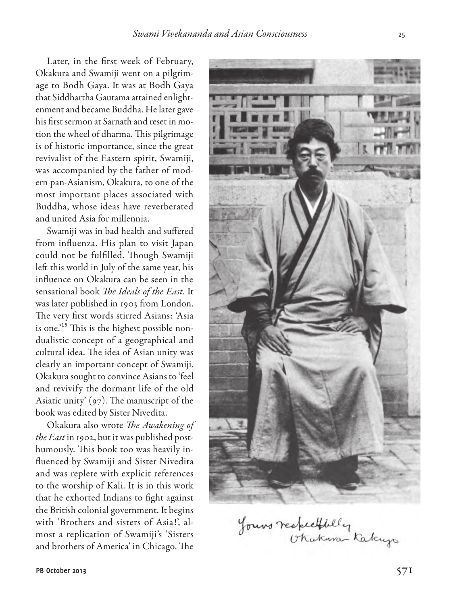Later, in the first week of February, Okakura and Swamiji went on a pilgrim age to Bodh Gaya. It was at Bodh Gaya that Siddhartha Gautama attained enlight enment and became Buddha. He later gave his first sermon at Sarnath and reset in mo tion the wheel of dharma. This pilgrimage is of historic importance, since the great revivalist of the Eastern spirit, Swamiji, was accompanied by the father of mod ern pan -Asianism, Okakura, to one of the most important places associated with Buddha, whose ideas have reverberated and united Asia for millennia.

Swamiji was in bad health and suffered from influenza. His plan to visit Japan could not be fulfilled. Though Swamiji left this world in July of the same year, his influence on Okakura can be seen in the sensational book *The Ideals of the East*. It was later published in 1903 from London. The very first words stirred Asians: 'Asia is one.<sup>15</sup> This is the highest possible nondualistic concept of a geographical and cultural idea. The idea of Asian unity was clearly an important concept of Swamiji. Okakura sought to convince Asians to 'feel and revivify the dormant life of the old Asiatic unity' (97). The manuscript of the book was edited by Sister Nivedita.

Okakura also wrote *The Awakening of the East* in 1902, but it was published post humously. This book too was heavily in fluenced by Swamiji and Sister Nivedita and was replete with explicit references to the worship of Kali. It is in this work that he exhorted Indians to fight against the British colonial government. It begins with 'Brothers and sisters of Asia!', al most a replication of Swamiji's 'Sisters and brothers of America' in Chicago. The





Yours respectfully<br>Okakwa Kakup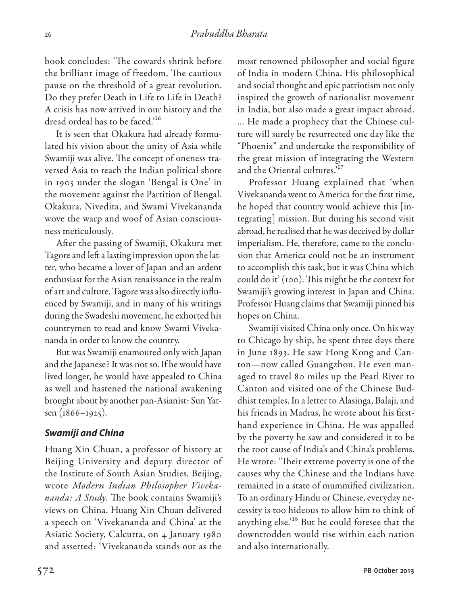#### 26 *Prabuddha Bharata*

book concludes: 'The cowards shrink before the brilliant image of freedom. The cautious pause on the threshold of a great revolution. Do they prefer Death in Life to Life in Death? A crisis has now arrived in our history and the dread ordeal has to be faced.<sup>16</sup>

It is seen that Okakura had already formulated his vision about the unity of Asia while Swamiji was alive. The concept of oneness traversed Asia to reach the Indian political shore in 1905 under the slogan 'Bengal is One' in the movement against the Partition of Bengal. Okakura, Nivedita, and Swami Vivekananda wove the warp and woof of Asian consciousness meticulously.

After the passing of Swamiji, Okakura met Tagore and left a lasting impression upon the latter, who became a lover of Japan and an ardent enthusiast for the Asian renaissance in the realm of art and culture. Tagore was also directly influenced by Swamiji, and in many of his writings during the Swadeshi movement, he exhorted his countrymen to read and know Swami Vivekananda in order to know the country.

But was Swamiji enamoured only with Japan and the Japanese? It was not so. If he would have lived longer, he would have appealed to China as well and hastened the national awakening brought about by another pan-Asianist: Sun Yatsen  $(1866 - 1925)$ .

#### *Swamiji and China*

Huang Xin Chuan, a professor of history at Beijing University and deputy director of the Institute of South Asian Studies, Beijing, wrote *Modern Indian Philosopher Vivekananda: A Study*. The book contains Swamiji's views on China. Huang Xin Chuan delivered a speech on 'Vivekananda and China' at the Asiatic Society, Calcutta, on 4 January 1980 and asserted: 'Vivekananda stands out as the

most renowned philosopher and social figure of India in modern China. His philosophical and social thought and epic patriotism not only inspired the growth of nationalist movement in India, but also made a great impact abroad. … He made a prophecy that the Chinese culture will surely be resurrected one day like the "Phoenix" and undertake the responsibility of the great mission of integrating the Western and the Oriental cultures.<sup>17</sup>

Professor Huang explained that 'when Vivekananda went to America for the first time, he hoped that country would achieve this [integrating] mission. But during his second visit abroad, he realised that he was deceived by dollar imperialism. He, therefore, came to the conclusion that America could not be an instrument to accomplish this task, but it was China which could do it' (100). This might be the context for Swamiji's growing interest in Japan and China. Professor Huang claims that Swamiji pinned his hopes on China.

Swamiji visited China only once. On his way to Chicago by ship, he spent three days there in June 1893. He saw Hong Kong and Canton—now called Guangzhou. He even managed to travel 80 miles up the Pearl River to Canton and visited one of the Chinese Buddhist temples. In a letter to Alasinga, Balaji, and his friends in Madras, he wrote about his firsthand experience in China. He was appalled by the poverty he saw and considered it to be the root cause of India's and China's problems. He wrote: 'Their extreme poverty is one of the causes why the Chinese and the Indians have remained in a state of mummified civilization. To an ordinary Hindu or Chinese, everyday necessity is too hideous to allow him to think of anything else.'18 But he could foresee that the downtrodden would rise within each nation and also internationally.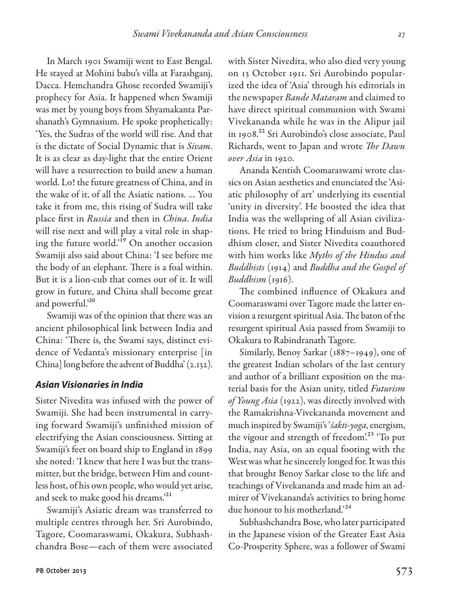In March 1901 Swamiji went to East Bengal. He stayed at Mohini babu's villa at Farashganj, Dacca. Hemchandra Ghose recorded Swamiji's prophecy for Asia. It happened when Swamiji was met by young boys from Shyamakanta Parshanath's Gymnasium. He spoke prophetically: 'Yes, the Sudras of the world will rise. And that is the dictate of Social Dynamic that is *Sivam*. It is as clear as day-light that the entire Orient will have a resurrection to build anew a human world. Lo! the future greatness of China, and in the wake of it, of all the Asiatic nations. … You take it from me, this rising of Sudra will take place first in *Russia* and then in *China*. *India* will rise next and will play a vital role in shaping the future world.'19 On another occasion Swamiji also said about China: 'I see before me the body of an elephant. There is a foal within. But it is a lion-cub that comes out of it. It will grow in future, and China shall become great and powerful.'20

Swamiji was of the opinion that there was an ancient philosophical link between India and China: 'There is, the Swami says, distinct evidence of Vedanta's missionary enterprise [in China] long before the advent of Buddha' (2.132).

#### *Asian Visionaries in India*

Sister Nivedita was infused with the power of Swamiji. She had been instrumental in carrying forward Swamiji's unfinished mission of electrifying the Asian consciousness. Sitting at Swamiji's feet on board ship to England in 1899 she noted: 'I knew that here I was but the transmitter, but the bridge, between Him and countless host, of his own people, who would yet arise, and seek to make good his dreams.'21

Swamiji's Asiatic dream was transferred to multiple centres through her. Sri Aurobindo, Tagore, Coomaraswami, Okakura, Subhashchandra Bose—each of them were associated

with Sister Nivedita, who also died very young on 13 October 1911. Sri Aurobindo popularized the idea of 'Asia' through his editorials in the newspaper *Bande Mataram* and claimed to have direct spiritual communion with Swami Vivekananda while he was in the Alipur jail in 1908.22 Sri Aurobindo's close associate, Paul Richards, went to Japan and wrote *The Dawn over Asia* in 1920.

Ananda Kentish Coomaraswami wrote classics on Asian aesthetics and enunciated the 'Asiatic philosophy of art' underlying its essential 'unity in diversity'. He boosted the idea that India was the wellspring of all Asian civilizations. He tried to bring Hinduism and Buddhism closer, and Sister Nivedita coauthored with him works like *Myths of the Hindus and Buddhists* (1914) and *Buddha and the Gospel of Buddhism* (1916).

The combined influence of Okakura and Coomaraswami over Tagore made the latter envision a resurgent spiritual Asia. The baton of the resurgent spiritual Asia passed from Swamiji to Okakura to Rabindranath Tagore.

Similarly, Benoy Sarkar (1887–1949), one of the greatest Indian scholars of the last century and author of a brilliant exposition on the material basis for the Asian unity, titled *Futurism of Young Asia* (1922), was directly involved with the Ramakrishna-Vivekananda movement and much inspired by Swamiji's '*śakti-yoga*, energism, the vigour and strength of freedom<sup>'23</sup> 'To put India, nay Asia, on an equal footing with the West was what he sincerely longed for. It was this that brought Benoy Sarkar close to the life and teachings of Vivekananda and made him an admirer of Vivekananda's activities to bring home due honour to his motherland.<sup>24</sup>

Subhashchandra Bose, who later participated in the Japanese vision of the Greater East Asia Co-Prosperity Sphere, was a follower of Swami